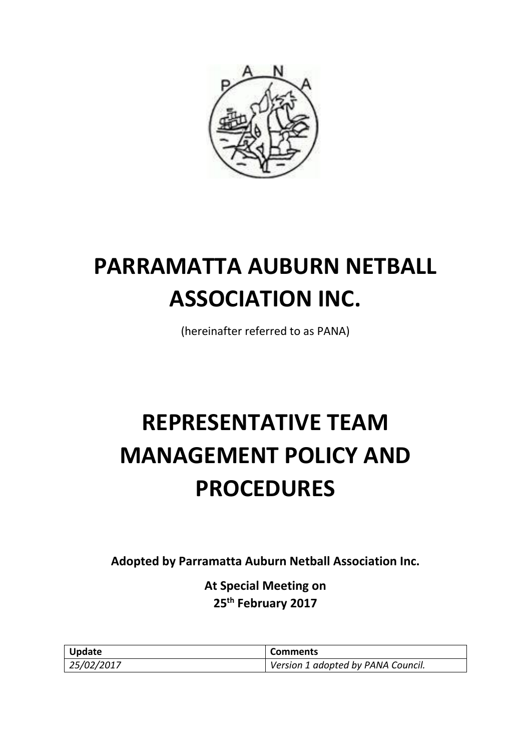

# **PARRAMATTA AUBURN NETBALL ASSOCIATION INC.**

(hereinafter referred to as PANA)

# **REPRESENTATIVE TEAM MANAGEMENT POLICY AND PROCEDURES**

**Adopted by Parramatta Auburn Netball Association Inc.**

**At Special Meeting on 25th February 2017**

| Update     | <b>Comments</b>                    |
|------------|------------------------------------|
| 25/02/2017 | Version 1 adopted by PANA Council. |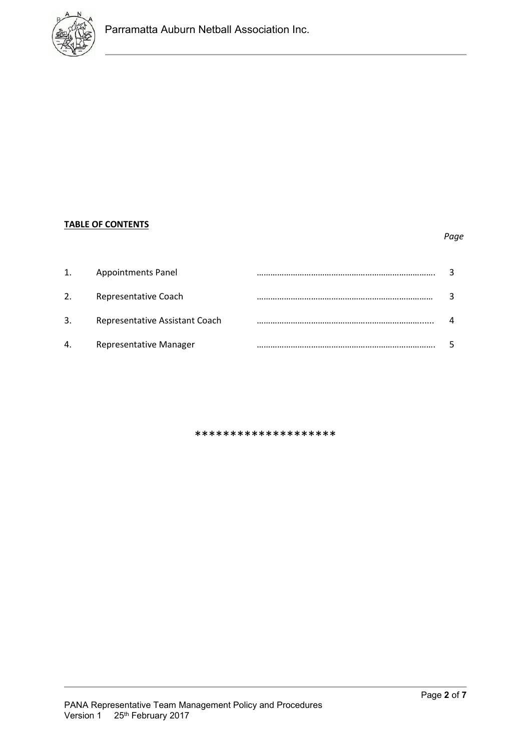

# **TABLE OF CONTENTS**

## *Page*

| 1. | <b>Appointments Panel</b>      |  |
|----|--------------------------------|--|
| 2. | Representative Coach           |  |
| 3. | Representative Assistant Coach |  |
| 4. | <b>Representative Manager</b>  |  |

\*\*\*\*\*\*\*\*\*\*\*\*\*\*\*\*\*\*\*\*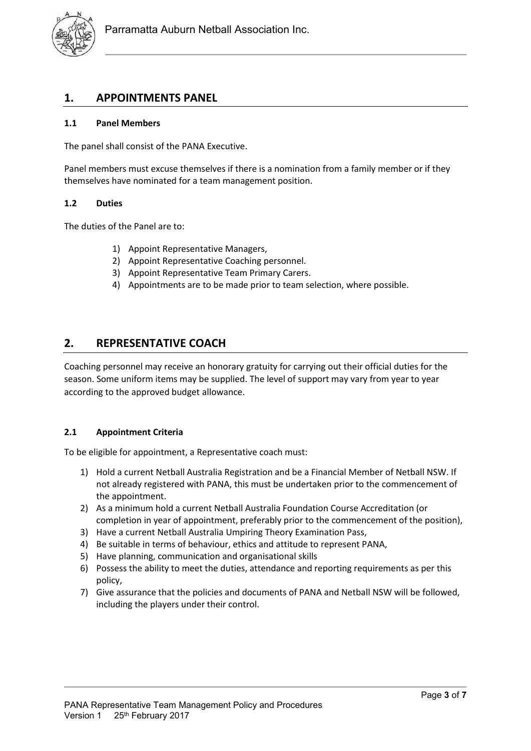

## **1. APPOINTMENTS PANEL**

## **1.1 Panel Members**

The panel shall consist of the PANA Executive.

Panel members must excuse themselves if there is a nomination from a family member or if they themselves have nominated for a team management position.

#### **1.2 Duties**

The duties of the Panel are to:

- 1) Appoint Representative Managers,
- 2) Appoint Representative Coaching personnel.
- 3) Appoint Representative Team Primary Carers.
- 4) Appointments are to be made prior to team selection, where possible.

## **2. REPRESENTATIVE COACH**

Coaching personnel may receive an honorary gratuity for carrying out their official duties for the season. Some uniform items may be supplied. The level of support may vary from year to year according to the approved budget allowance.

## **2.1 Appointment Criteria**

To be eligible for appointment, a Representative coach must:

- 1) Hold a current Netball Australia Registration and be a Financial Member of Netball NSW. If not already registered with PANA, this must be undertaken prior to the commencement of the appointment.
- 2) As a minimum hold a current Netball Australia Foundation Course Accreditation (or completion in year of appointment, preferably prior to the commencement of the position),
- 3) Have a current Netball Australia Umpiring Theory Examination Pass,
- 4) Be suitable in terms of behaviour, ethics and attitude to represent PANA,
- 5) Have planning, communication and organisational skills
- 6) Possess the ability to meet the duties, attendance and reporting requirements as per this policy,
- 7) Give assurance that the policies and documents of PANA and Netball NSW will be followed, including the players under their control.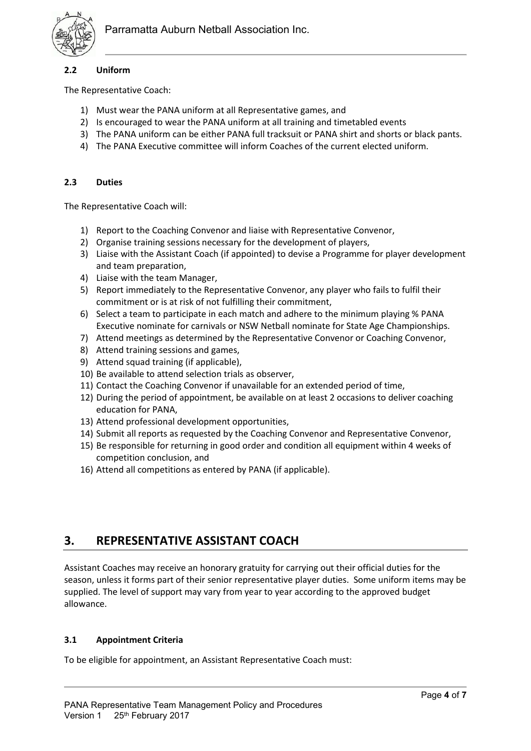

## **2.2 Uniform**

The Representative Coach:

- 1) Must wear the PANA uniform at all Representative games, and
- 2) Is encouraged to wear the PANA uniform at all training and timetabled events
- 3) The PANA uniform can be either PANA full tracksuit or PANA shirt and shorts or black pants.
- 4) The PANA Executive committee will inform Coaches of the current elected uniform.

## **2.3 Duties**

The Representative Coach will:

- 1) Report to the Coaching Convenor and liaise with Representative Convenor,
- 2) Organise training sessions necessary for the development of players,
- 3) Liaise with the Assistant Coach (if appointed) to devise a Programme for player development and team preparation,
- 4) Liaise with the team Manager,
- 5) Report immediately to the Representative Convenor, any player who fails to fulfil their commitment or is at risk of not fulfilling their commitment,
- 6) Select a team to participate in each match and adhere to the minimum playing % PANA Executive nominate for carnivals or NSW Netball nominate for State Age Championships.
- 7) Attend meetings as determined by the Representative Convenor or Coaching Convenor,
- 8) Attend training sessions and games,
- 9) Attend squad training (if applicable),
- 10) Be available to attend selection trials as observer,
- 11) Contact the Coaching Convenor if unavailable for an extended period of time,
- 12) During the period of appointment, be available on at least 2 occasions to deliver coaching education for PANA,
- 13) Attend professional development opportunities,
- 14) Submit all reports as requested by the Coaching Convenor and Representative Convenor,
- 15) Be responsible for returning in good order and condition all equipment within 4 weeks of competition conclusion, and
- 16) Attend all competitions as entered by PANA (if applicable).

# **3. REPRESENTATIVE ASSISTANT COACH**

Assistant Coaches may receive an honorary gratuity for carrying out their official duties for the season, unless it forms part of their senior representative player duties. Some uniform items may be supplied. The level of support may vary from year to year according to the approved budget allowance.

## **3.1 Appointment Criteria**

To be eligible for appointment, an Assistant Representative Coach must: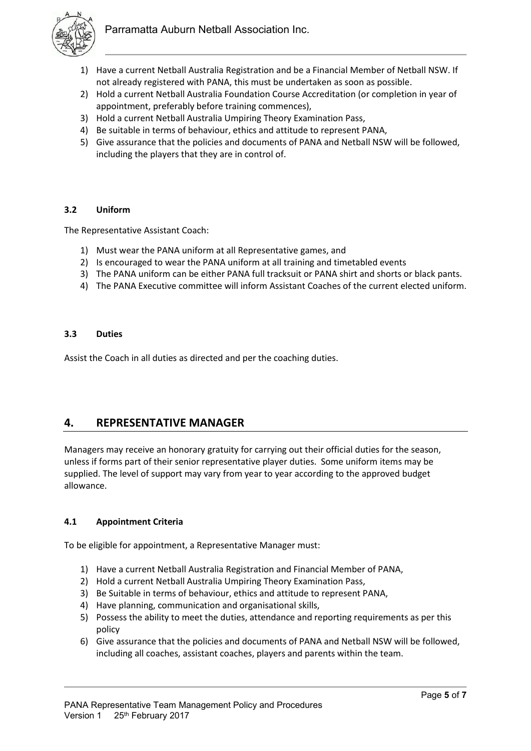

- 1) Have a current Netball Australia Registration and be a Financial Member of Netball NSW. If not already registered with PANA, this must be undertaken as soon as possible.
- 2) Hold a current Netball Australia Foundation Course Accreditation (or completion in year of appointment, preferably before training commences),
- 3) Hold a current Netball Australia Umpiring Theory Examination Pass,
- 4) Be suitable in terms of behaviour, ethics and attitude to represent PANA,
- 5) Give assurance that the policies and documents of PANA and Netball NSW will be followed, including the players that they are in control of.

## **3.2 Uniform**

The Representative Assistant Coach:

- 1) Must wear the PANA uniform at all Representative games, and
- 2) Is encouraged to wear the PANA uniform at all training and timetabled events
- 3) The PANA uniform can be either PANA full tracksuit or PANA shirt and shorts or black pants.
- 4) The PANA Executive committee will inform Assistant Coaches of the current elected uniform.

## **3.3 Duties**

Assist the Coach in all duties as directed and per the coaching duties.

## **4. REPRESENTATIVE MANAGER**

Managers may receive an honorary gratuity for carrying out their official duties for the season, unless if forms part of their senior representative player duties. Some uniform items may be supplied. The level of support may vary from year to year according to the approved budget allowance.

## **4.1 Appointment Criteria**

To be eligible for appointment, a Representative Manager must:

- 1) Have a current Netball Australia Registration and Financial Member of PANA,
- 2) Hold a current Netball Australia Umpiring Theory Examination Pass,
- 3) Be Suitable in terms of behaviour, ethics and attitude to represent PANA,
- 4) Have planning, communication and organisational skills,
- 5) Possess the ability to meet the duties, attendance and reporting requirements as per this policy
- 6) Give assurance that the policies and documents of PANA and Netball NSW will be followed, including all coaches, assistant coaches, players and parents within the team.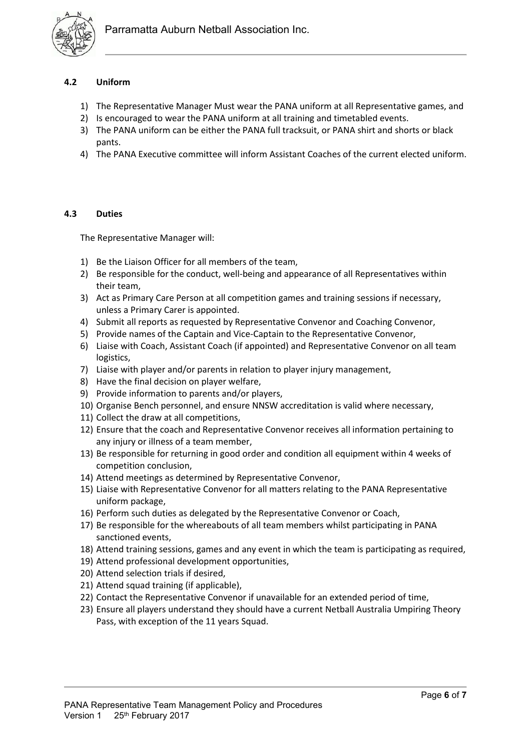

## **4.2 Uniform**

- 1) The Representative Manager Must wear the PANA uniform at all Representative games, and
- 2) Is encouraged to wear the PANA uniform at all training and timetabled events.
- 3) The PANA uniform can be either the PANA full tracksuit, or PANA shirt and shorts or black pants.
- 4) The PANA Executive committee will inform Assistant Coaches of the current elected uniform.

## **4.3 Duties**

The Representative Manager will:

- 1) Be the Liaison Officer for all members of the team,
- 2) Be responsible for the conduct, well-being and appearance of all Representatives within their team,
- 3) Act as Primary Care Person at all competition games and training sessions if necessary, unless a Primary Carer is appointed.
- 4) Submit all reports as requested by Representative Convenor and Coaching Convenor,
- 5) Provide names of the Captain and Vice-Captain to the Representative Convenor,
- 6) Liaise with Coach, Assistant Coach (if appointed) and Representative Convenor on all team logistics,
- 7) Liaise with player and/or parents in relation to player injury management,
- 8) Have the final decision on player welfare,
- 9) Provide information to parents and/or players,
- 10) Organise Bench personnel, and ensure NNSW accreditation is valid where necessary,
- 11) Collect the draw at all competitions,
- 12) Ensure that the coach and Representative Convenor receives all information pertaining to any injury or illness of a team member,
- 13) Be responsible for returning in good order and condition all equipment within 4 weeks of competition conclusion,
- 14) Attend meetings as determined by Representative Convenor,
- 15) Liaise with Representative Convenor for all matters relating to the PANA Representative uniform package,
- 16) Perform such duties as delegated by the Representative Convenor or Coach,
- 17) Be responsible for the whereabouts of all team members whilst participating in PANA sanctioned events,
- 18) Attend training sessions, games and any event in which the team is participating as required,
- 19) Attend professional development opportunities,
- 20) Attend selection trials if desired,
- 21) Attend squad training (if applicable),
- 22) Contact the Representative Convenor if unavailable for an extended period of time,
- 23) Ensure all players understand they should have a current Netball Australia Umpiring Theory Pass, with exception of the 11 years Squad.